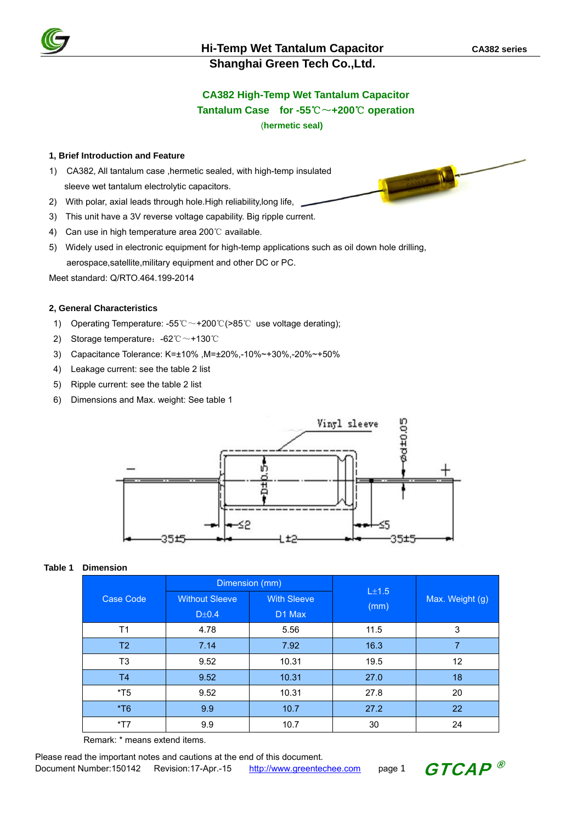

# **CA382 High-Temp Wet Tantalum Capacitor Tantalum Case for -55**℃~**+200**℃ **operation**

(**hermetic seal)**

#### **1, Brief Introduction and Feature**

- 1) CA382, All tantalum case ,hermetic sealed, with high-temp insulated sleeve wet tantalum electrolytic capacitors.
- 2) With polar, axial leads through hole.High reliability,long life,
- 3) This unit have a 3V reverse voltage capability. Big ripple current.
- 4) Can use in high temperature area 200℃ available.
- 5) Widely used in electronic equipment for high-temp applications such as oil down hole drilling, aerospace,satellite,military equipment and other DC or PC.

Meet standard: Q/RTO.464.199-2014

#### **2, General Characteristics**

- 1) Operating Temperature: -55℃~+200℃(>85℃ use voltage derating);
- 2) Storage temperature:-62℃~+130℃
- 3) Capacitance Tolerance: K=±10% ,M=±20%,-10%~+30%,-20%~+50%
- 4) Leakage current: see the table 2 list
- 5) Ripple current: see the table 2 list
- 6) Dimensions and Max. weight: See table 1



#### **Table 1 Dimension**

|                    |                       | Dimension (mm)     |           |                 |  |
|--------------------|-----------------------|--------------------|-----------|-----------------|--|
| <b>Case Code</b>   | <b>Without Sleeve</b> | <b>With Sleeve</b> | $L\pm1.5$ | Max. Weight (g) |  |
|                    | D1 Max<br>$D\pm0.4$   |                    | (mm)      |                 |  |
| T1                 | 4.78                  | 5.56               | 11.5      | 3               |  |
| T <sub>2</sub>     | 7.14                  | 7.92               | 16.3      | 7               |  |
| T <sub>3</sub>     | 9.52                  | 10.31              | 19.5      | 12              |  |
| T <sub>4</sub>     | 9.52                  | 10.31              | 27.0      | 18              |  |
| $*$ T5             | 9.52                  | 10.31              | 27.8      | 20              |  |
| $*$ T <sub>6</sub> | 9.9                   | 10.7               | 27.2      | 22              |  |
| $*T7$              | 9.9                   | 10.7               | 30        | 24              |  |

Remark: \* means extend items.

Please read the important notes and cautions at the end of this document.

Document Number:150142 Revision:17-Apr.-15 http://www.greentechee.com page 1

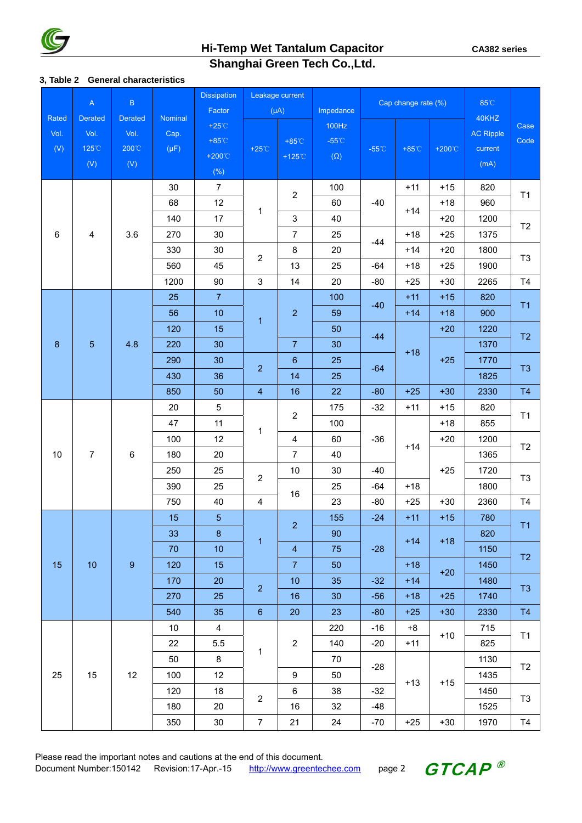

## **Shanghai Green Tech Co.,Ltd. Hi-Temp Wet Tantalum Capacitor CA382 series**

|         |                | 3, Table 2 General characteristics |                    |                         |                                  |                           |                 |                     |                 |        |                  |                                  |      |                |
|---------|----------------|------------------------------------|--------------------|-------------------------|----------------------------------|---------------------------|-----------------|---------------------|-----------------|--------|------------------|----------------------------------|------|----------------|
|         | $\mathsf{A}$   | $\, {\sf B} \,$                    | <b>Dissipation</b> |                         |                                  | Leakage current           |                 | Cap change rate (%) |                 |        | 85°C             |                                  |      |                |
| Rated   | <b>Derated</b> | Derated                            | Nominal            | Factor<br>$(\mu A)$     |                                  |                           | Impedance       |                     |                 |        | 40KHZ            |                                  |      |                |
| Vol.    | Vol.           | Vol.                               | Cap.               | $+25^{\circ}$ C         |                                  |                           | 100Hz           |                     |                 |        | <b>AC Ripple</b> | Case                             |      |                |
|         | 125°C          | 200°C                              |                    | $+85^{\circ}$ C         | $+25^{\circ}$ C                  | $+85^{\circ}$ C           | $-55^{\circ}$ C | $-55^{\circ}$ C     | $+85^{\circ}$ C | +200°C | current          | Code                             |      |                |
| (V)     |                |                                    | $(\mu F)$          | +200 $^{\circ}$ C       |                                  | +125 $°C$                 | $(\Omega)$      |                     |                 |        |                  |                                  |      |                |
|         | (V)            | (V)                                |                    | (% )                    |                                  |                           |                 |                     |                 |        | (mA)             |                                  |      |                |
|         |                |                                    | 30                 | $\overline{7}$          | 1                                | $\overline{2}$            | 100             |                     | $+11$           | $+15$  | 820              | T1                               |      |                |
|         |                |                                    | 68                 | 12                      |                                  |                           | 60              | $-40$               | $+14$           | $+18$  | 960              |                                  |      |                |
|         |                |                                    | 140                | 17                      |                                  | $\ensuremath{\mathsf{3}}$ | 40              |                     |                 | $+20$  | 1200             |                                  |      |                |
| $\,6\,$ | 4              | 3.6                                | 270                | 30                      |                                  | $\overline{7}$            | 25              |                     | $+18$           | $+25$  | 1375             | T <sub>2</sub>                   |      |                |
|         |                |                                    | 330                | 30                      |                                  | 8                         | 20              | $-44$               | $+14$           | $+20$  | 1800             |                                  |      |                |
|         |                |                                    | 560                | 45                      | $\boldsymbol{2}$                 | 13                        | 25              | $-64$               | $+18$           | $+25$  | 1900             | T <sub>3</sub>                   |      |                |
|         |                |                                    | 1200               | 90                      | $\ensuremath{\mathsf{3}}$        | 14                        | 20              | $-80$               | $+25$           | $+30$  | 2265             | T4                               |      |                |
|         |                |                                    | 25                 | $\overline{7}$          |                                  |                           | 100             |                     | $+11$           | $+15$  | 820              |                                  |      |                |
|         |                |                                    | 56                 | 10                      | $\mathbf{1}$<br>$\boldsymbol{2}$ | $\overline{a}$            | 59              | $-40$               | $+14$           | $+18$  | 900              | T1                               |      |                |
|         |                |                                    | 120                | 15                      |                                  |                           | 50              |                     |                 | $+20$  | 1220             |                                  |      |                |
| $\bf 8$ | $\overline{5}$ | 4.8                                | 220                | 30                      |                                  |                           | $\overline{7}$  | 30                  |                 | $-44$  |                  |                                  | 1370 | T <sub>2</sub> |
|         |                |                                    | 290                | 30                      |                                  | $\,6\,$                   | 25              |                     | $+18$           | $+25$  | 1770             | T <sub>3</sub>                   |      |                |
|         |                |                                    | 430                | 36                      |                                  | 14                        | 25              | $-64$               |                 |        | 1825             |                                  |      |                |
|         |                |                                    | 850                | 50                      | $\overline{4}$                   | 16                        | 22              | $-80$               | $+25$           | $+30$  | 2330             | T <sub>4</sub>                   |      |                |
|         |                | $\,6$                              | 20                 | 5                       | 1                                |                           | 175             | $-32$               | $+11$           | $+15$  | 820              |                                  |      |                |
|         |                |                                    | 47                 | 11                      |                                  | $\sqrt{2}$                | 100             |                     | $+14$           | $+18$  | 855              | T1                               |      |                |
|         |                |                                    | 100                | 12                      |                                  | $\overline{\mathbf{4}}$   | 60              | $-36$               |                 | $+20$  | 1200             |                                  |      |                |
| $10$    | $\overline{7}$ |                                    | 180                | 20                      |                                  | $\overline{7}$            | 40              |                     |                 |        | 1365             | T <sub>2</sub><br>T <sub>3</sub> |      |                |
|         |                |                                    | 250                | 25                      |                                  | $10$                      | 30              | $-40$<br>-64        |                 | $+25$  | 1720             |                                  |      |                |
|         |                |                                    | 390                | 25                      | $\boldsymbol{2}$                 |                           | 25              |                     | $+18$           |        | 1800             |                                  |      |                |
|         |                |                                    | 750                | 40                      | $\overline{\mathbf{4}}$          | 16                        | 23              | $-80$               | $+25$           | $+30$  | 2360             | T <sub>4</sub>                   |      |                |
|         |                |                                    | 15                 | $\sqrt{5}$              |                                  |                           | 155             | $-24$               | $+11$           | $+15$  | 780              |                                  |      |                |
|         |                |                                    | 33                 | $\boldsymbol{8}$        |                                  | $\overline{2}$            | 90              |                     |                 |        | 820              | T1                               |      |                |
|         |                |                                    | 70                 | 10                      | 1                                | $\overline{\mathbf{4}}$   | 75              | $-28$               | $+14$           | $+18$  | 1150             |                                  |      |                |
| 15      | 10             | $\boldsymbol{9}$                   | 120                | 15                      |                                  | $\overline{7}$            | 50              |                     | $+18$           |        | 1450             | T <sub>2</sub>                   |      |                |
|         |                |                                    | 170                | 20                      |                                  | 10                        | 35              | $-32$               | $+14$           | $+20$  | 1480             |                                  |      |                |
|         |                |                                    | 270                | 25                      | $\overline{2}$                   | 16                        | 30              | $-56$               | $+18$           | $+25$  | 1740             | T <sub>3</sub>                   |      |                |
|         |                |                                    | 540                | 35                      | $\,6\,$                          | 20                        | 23              | $-80$               | $+25$           | $+30$  | 2330             | T <sub>4</sub>                   |      |                |
|         |                |                                    | 10                 | $\overline{\mathbf{4}}$ |                                  |                           | 220             | $-16$               | $+8$            |        | 715              |                                  |      |                |
|         |                | 12                                 | 22                 | 5.5                     |                                  | 2                         | 140             | $-20$<br>$+11$      | $+10$           | 825    | T1               |                                  |      |                |
|         |                |                                    | 50                 | 8                       | 1                                |                           | 70              |                     |                 |        | 1130             | T <sub>2</sub>                   |      |                |
| 25      | 15             |                                    | 100                | 12                      |                                  | 9                         | 50              | $-28$               |                 |        | 1435             |                                  |      |                |
|         |                |                                    | 120                | 18                      |                                  | 6                         | 38              | $-32$               | $+13$           | $+15$  | 1450             |                                  |      |                |
|         |                |                                    | 180                | 20                      | $\sqrt{2}$                       | 16                        | 32              | $-48$               |                 |        | 1525             | T <sub>3</sub>                   |      |                |
|         |                |                                    | 350                | $30\,$                  | $\overline{7}$                   | 21                        | 24              | $-70$               | $+25$           | $+30$  | 1970             | T4                               |      |                |

Please read the important notes and cautions at the end of this document. Document Number:150142 Revision:17-Apr.-15 http://www.greentechee.com page 2

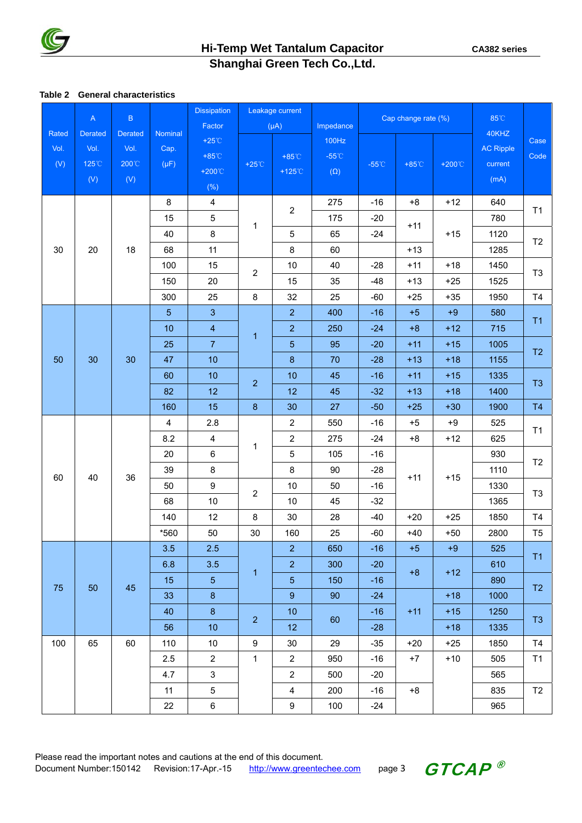

# **Shanghai Green Tech Co.,Ltd.**

### **Table 2 General characteristics**

|                      | $\mathsf{A}% _{\mathcal{A}}^{\ast}=\mathsf{A}_{\mathcal{A}}^{\ast}$ | $\sf B$                                |                              | <b>Dissipation</b><br>Factor                            | Leakage current<br>$(\mu A)$ |                                     | Impedance                              |                 | Cap change rate (%) | 85°C              |                                              |                                  |
|----------------------|---------------------------------------------------------------------|----------------------------------------|------------------------------|---------------------------------------------------------|------------------------------|-------------------------------------|----------------------------------------|-----------------|---------------------|-------------------|----------------------------------------------|----------------------------------|
| Rated<br>Vol.<br>(V) | <b>Derated</b><br>Vol.<br>125°C<br>(V)                              | <b>Derated</b><br>Vol.<br>200°C<br>(V) | Nominal<br>Cap.<br>$(\mu F)$ | +25 $°C$<br>$+85^{\circ}$ C<br>$+200^{\circ}$ C<br>(% ) | $+25^{\circ}$ C              | $+85^{\circ}$ C<br>$+125^{\circ}$ C | 100Hz<br>$-55^{\circ}$ C<br>$(\Omega)$ | $-55^{\circ}$ C | $+85^{\circ}$ C     | +200 $^{\circ}$ C | 40KHZ<br><b>AC Ripple</b><br>current<br>(mA) | Case<br>Code                     |
|                      |                                                                     |                                        | 8                            | $\overline{4}$                                          |                              |                                     | 275                                    | $-16$           | $+8$                | $+12$             | 640                                          |                                  |
|                      |                                                                     |                                        | 15                           | 5                                                       |                              | $\sqrt{2}$                          | 175                                    | $-20$           |                     |                   | 780                                          | T1                               |
|                      |                                                                     |                                        | 40                           | 8                                                       | 1                            | 5                                   | 65                                     | $-24$           | $+11$               | $+15$             | 1120                                         |                                  |
| 30                   | 20                                                                  | 18                                     | 68                           | 11                                                      |                              | $\bf 8$                             | 60                                     |                 | $+13$               |                   | 1285                                         | T2                               |
|                      |                                                                     |                                        | 100                          | 15                                                      | $\overline{c}$               | $10$                                | 40                                     | $-28$           | $+11$               | $+18$             | 1450                                         | T <sub>3</sub>                   |
|                      |                                                                     |                                        | 150                          | 20                                                      |                              | 15                                  | 35                                     | $-48$           | $+13$               | $+25$             | 1525                                         |                                  |
|                      |                                                                     |                                        | 300                          | 25                                                      | 8                            | 32                                  | 25                                     | $-60$           | $+25$               | $+35$             | 1950                                         | T4                               |
|                      |                                                                     |                                        | $\sqrt{5}$                   | 3                                                       |                              | $\overline{2}$                      | 400                                    | $-16$           | $+5$                | $+9$              | 580                                          | T1                               |
|                      |                                                                     |                                        | 10                           | $\overline{4}$                                          | $\mathbf{1}$                 | $\overline{2}$                      | 250                                    | $-24$           | $+8$                | $+12$             | 715                                          |                                  |
|                      |                                                                     |                                        | 25                           | $\overline{7}$                                          |                              | $\sqrt{5}$                          | 95                                     | $-20$           | $+11$               | $+15$             | 1005                                         | T <sub>2</sub><br>T <sub>3</sub> |
| 50                   | 30                                                                  | 30                                     | 47                           | 10                                                      |                              | $\bf 8$                             | 70                                     | $-28$           | $+13$               | $+18$             | 1155                                         |                                  |
|                      |                                                                     |                                        | 60                           | 10                                                      | $\overline{2}$               | 10                                  | 45                                     | $-16$           | $+11$               | $+15$             | 1335                                         |                                  |
|                      |                                                                     |                                        | 82                           | 12                                                      |                              | 12                                  | 45                                     | $-32$           | $+13$               | $+18$             | 1400                                         |                                  |
|                      |                                                                     |                                        | 160                          | 15                                                      | $\bf 8$                      | 30                                  | 27                                     | $-50$           | $+25$               | $+30$             | 1900                                         | T <sub>4</sub>                   |
|                      |                                                                     |                                        | 4                            | 2.8                                                     | 1                            | $\mathbf{2}$                        | 550                                    | $-16$           | $+5$                | $+9$              | 525                                          | T1                               |
|                      |                                                                     |                                        | 8.2                          | $\overline{\mathbf{4}}$                                 |                              | $\sqrt{2}$                          | 275                                    | $-24$           | $+8$                | $+12$             | 625                                          |                                  |
|                      |                                                                     | 36                                     | 20                           | $\,6\,$                                                 |                              | $\sqrt{5}$                          | 105                                    | $-16$           | $+11$               |                   | 930                                          | T <sub>2</sub><br>T <sub>3</sub> |
| 60                   | 40                                                                  |                                        | 39                           | 8                                                       | $\overline{2}$               | $\bf 8$                             | 90                                     | $-28$           |                     | $+15$             | 1110                                         |                                  |
|                      |                                                                     |                                        | 50                           | $\boldsymbol{9}$                                        |                              | $10$                                | 50                                     | $-16$           |                     |                   | 1330                                         |                                  |
|                      |                                                                     |                                        | 68                           | $10$                                                    |                              | $10$                                | 45                                     | $-32$           |                     |                   | 1365                                         |                                  |
|                      |                                                                     |                                        | 140                          | 12                                                      | 8                            | $30\,$                              | 28                                     | $-40$           | $+20$               | $+25$             | 1850                                         | T <sub>4</sub>                   |
|                      |                                                                     |                                        | *560                         | 50                                                      | $30\,$                       | 160                                 | 25                                     | $-60$           | $+40$               | $+50$             | 2800                                         | T <sub>5</sub>                   |
|                      |                                                                     |                                        | 3.5                          | 2.5                                                     |                              | $\overline{2}$                      | 650                                    | $-16$           | $+5$                | $+9$              | 525                                          | T1                               |
|                      |                                                                     |                                        | 6.8                          | 3.5                                                     | $\mathbf{1}$                 | $\overline{2}$                      | 300                                    | $-20$           | $+8$                | $+12$             | 610<br>890                                   |                                  |
| 75                   | 50                                                                  | 45                                     | 15                           | $\sqrt{5}$                                              |                              | $\overline{5}$                      | 150                                    | $-16$           |                     |                   |                                              | T <sub>2</sub>                   |
|                      |                                                                     |                                        | 33                           | $\bf 8$                                                 |                              | $\boldsymbol{9}$                    | 90                                     | $-24$           |                     | $+18$             | 1000                                         |                                  |
|                      |                                                                     |                                        | 40                           | $\bf 8$                                                 | $\overline{2}$               | 10                                  | 60                                     | $-16$           | $+11$               | $+15$             | 1250                                         | T <sub>3</sub>                   |
|                      |                                                                     |                                        | 56                           | 10                                                      |                              | 12                                  |                                        | $-28$           |                     | $+18$             | 1335                                         |                                  |
| 100                  | 65                                                                  | 60                                     | 110                          | 10                                                      | $\boldsymbol{9}$             | 30                                  | 29                                     | $-35$           | $+20$               | $+25$             | 1850                                         | T <sub>4</sub>                   |
|                      |                                                                     |                                        | 2.5                          | $\overline{2}$                                          | $\mathbf 1$                  | $\overline{2}$                      | 950                                    | $-16$           | $+7$                | $+10$             | 505                                          | T1                               |
|                      |                                                                     |                                        | 4.7                          | $\mathfrak{S}$                                          |                              | $\overline{2}$                      | 500                                    | $-20$           |                     |                   | 565                                          |                                  |
|                      |                                                                     |                                        | 11                           | 5                                                       |                              | $\overline{4}$                      | 200                                    | $-16$           | $+8$                |                   | 835                                          | T2                               |
|                      |                                                                     |                                        | 22                           | $\,6\,$                                                 |                              | $\boldsymbol{9}$                    | 100                                    | $-24$           |                     |                   | 965                                          |                                  |



GTCAP ®